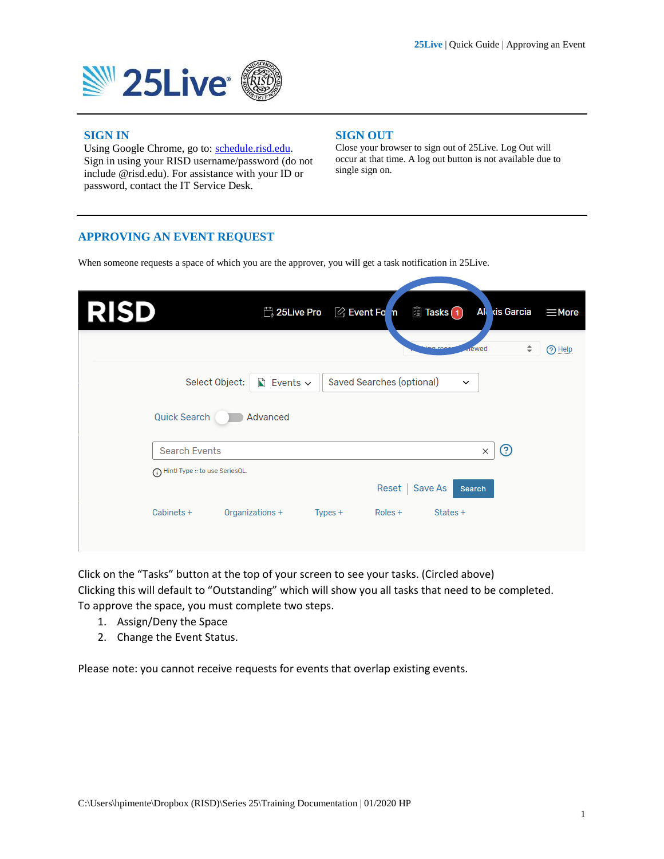

### **SIGN IN**

Using Google Chrome, go to: [schedule.risd.edu.](https://25live.collegenet.com/pro/risd) Sign in using your RISD username/password (do not include @risd.edu). For assistance with your ID or password, contact the IT Service Desk.

#### **SIGN OUT**

Close your browser to sign out of 25Live. Log Out will occur at that time. A log out button is not available due to single sign on.

### **APPROVING AN EVENT REQUEST**

When someone requests a space of which you are the approver, you will get a task notification in 25Live.

| <b>RISD</b>                        | <del>营</del> 25Live Pro   | $\oslash$ Event Fo n             | 图 Tasks(1)                      | Ale dis Garcia | $\equiv$ More |
|------------------------------------|---------------------------|----------------------------------|---------------------------------|----------------|---------------|
|                                    |                           |                                  | <b>Arewed</b><br><b>ABLIDAD</b> | ÷              | O Help        |
| Select Object:                     | $\triangle$ Events $\sim$ | <b>Saved Searches (optional)</b> | $\check{~}$                     |                |               |
| <b>Quick Search</b>                | Advanced                  |                                  |                                 |                |               |
| <b>Search Events</b>               |                           |                                  |                                 | ℗<br>$\times$  |               |
| (i) Hint! Type :: to use SeriesQL. |                           |                                  |                                 |                |               |
|                                    |                           | Reset                            | Save As<br><b>Search</b>        |                |               |
| Cabinets +                         | Organizations +           | $Types +$<br>Roles +             | States +                        |                |               |
|                                    |                           |                                  |                                 |                |               |

Click on the "Tasks" button at the top of your screen to see your tasks. (Circled above) Clicking this will default to "Outstanding" which will show you all tasks that need to be completed. To approve the space, you must complete two steps.

- 1. Assign/Deny the Space
- 2. Change the Event Status.

Please note: you cannot receive requests for events that overlap existing events.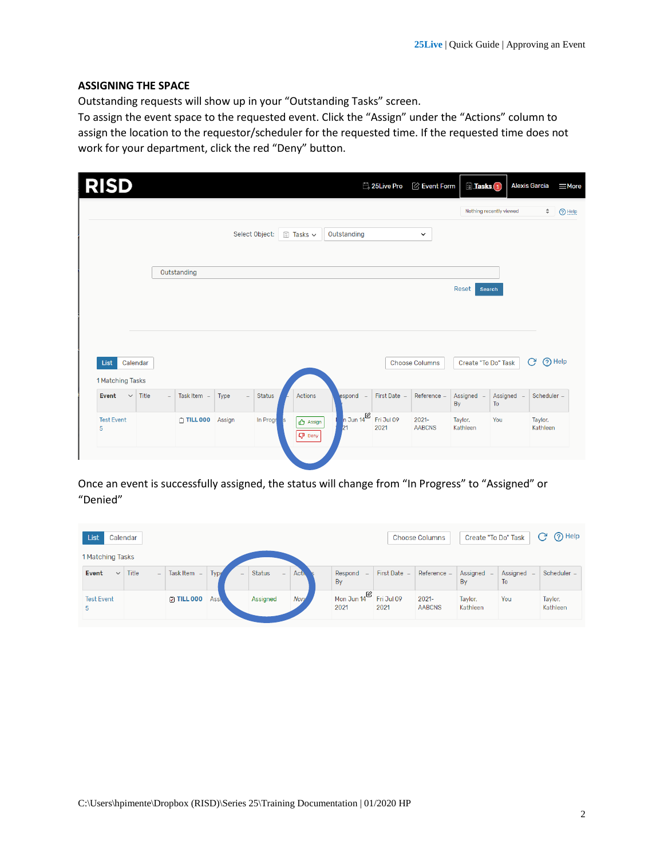# **ASSIGNING THE SPACE**

Outstanding requests will show up in your "Outstanding Tasks" screen.

To assign the event space to the requested event. Click the "Assign" under the "Actions" column to assign the location to the requestor/scheduler for the requested time. If the requested time does not work for your department, click the red "Deny" button.

| <b>RISD</b>                          |       |                         |                  |                 |                                              |                                       | <b>Ë</b> <sub>↓</sub> 25Live Pro | $\oslash$ Event Form      | <b>Tasks</b> <sub>1</sub> |                         | <b>Alexis Garcia</b> | $\equiv$ More |
|--------------------------------------|-------|-------------------------|------------------|-----------------|----------------------------------------------|---------------------------------------|----------------------------------|---------------------------|---------------------------|-------------------------|----------------------|---------------|
|                                      |       |                         |                  |                 |                                              |                                       |                                  |                           |                           | Nothing recently viewed | ÷                    | (?) Help      |
|                                      |       |                         | Select Object:   |                 | 圖 Tasks ~                                    | Outstanding                           |                                  | $\checkmark$              |                           |                         |                      |               |
|                                      |       | Outstanding             |                  |                 |                                              |                                       |                                  |                           |                           |                         |                      |               |
|                                      |       |                         |                  |                 |                                              |                                       |                                  |                           | Reset<br><b>Search</b>    |                         |                      |               |
|                                      |       |                         |                  |                 |                                              |                                       |                                  |                           |                           |                         |                      |               |
|                                      |       |                         |                  |                 |                                              |                                       |                                  |                           |                           |                         |                      |               |
| List<br>Calendar<br>1 Matching Tasks |       |                         |                  |                 |                                              |                                       |                                  | <b>Choose Columns</b>     | Create "To Do" Task       |                         | C                    | <b>O</b> Help |
| Event<br>$\checkmark$                | Title | Task Item -<br>$\equiv$ | Type<br>$\equiv$ | <b>Status</b>   | Actions                                      | espond -                              | First Date -                     | Reference -               | Assigned -<br>By          | Assigned -<br>To        | Scheduler -          |               |
| <b>Test Event</b><br>5               |       | $\cap$ TILL 000         | Assign           | In Progr<br>∣s. | $\mathbf{\triangle}$ Assign<br><b>Q</b> Deny | $\sqrt{n}$ Jun 14 <sup>02</sup><br>21 | Fri Jul 09<br>2021               | $2021 -$<br><b>AABCNS</b> | Taylor,<br>Kathleen       | You                     | Taylor,<br>Kathleen  |               |
|                                      |       |                         |                  |                 |                                              |                                       |                                  |                           |                           |                         |                      |               |

Once an event is successfully assigned, the status will change from "In Progress" to "Assigned" or "Denied"

| List<br>Calendar                      |        |                          |             |                      | <b>Choose Columns</b> | Create "To Do" Task                         |              | O Help<br>C               |                     |                  |                     |
|---------------------------------------|--------|--------------------------|-------------|----------------------|-----------------------|---------------------------------------------|--------------|---------------------------|---------------------|------------------|---------------------|
| 1 Matching Tasks                      |        |                          |             |                      |                       |                                             |              |                           |                     |                  |                     |
| Title<br><b>Event</b><br>$\checkmark$ | $\sim$ | Task Item $-$            | Type<br>-   | <b>Status</b><br>$-$ | <b>Activ</b>          | Respond -<br>By                             | First Date - | Reference -               | Assigned $-$<br>By  | Assigned -<br>To | Scheduler -         |
| <b>Test Event</b><br>5                |        | $\triangledown$ TILL 000 | <b>Assi</b> | Assigned             | <b>Non</b>            | Mon Jun $14^{\boxtimes}$ Fri Jul 09<br>2021 | 2021         | $2021 -$<br><b>AABCNS</b> | Taylor.<br>Kathleen | You              | Taylor,<br>Kathleen |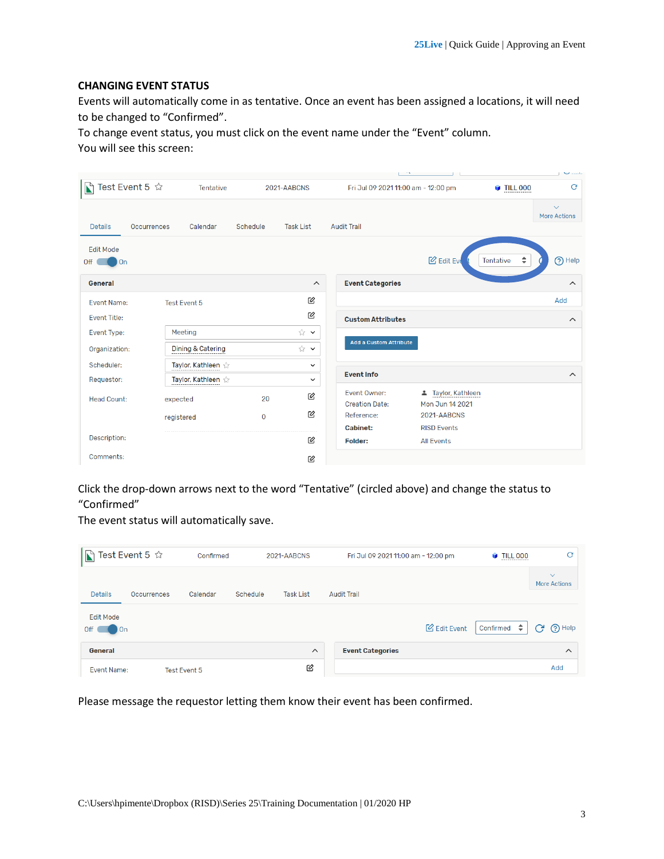## **CHANGING EVENT STATUS**

Events will automatically come in as tentative. Once an event has been assigned a locations, it will need to be changed to "Confirmed".

To change event status, you must click on the event name under the "Event" column. You will see this screen:

|                                      |                    |                              |             |                         |                                       |                                       |                 | $\sim$ $-$                          |
|--------------------------------------|--------------------|------------------------------|-------------|-------------------------|---------------------------------------|---------------------------------------|-----------------|-------------------------------------|
|                                      | Test Event 5 ☆     | Tentative                    |             | 2021-AABCNS             | Fri Jul 09 2021 11:00 am - 12:00 pm   |                                       | <b>TILL 000</b> | G                                   |
| <b>Details</b>                       | <b>Occurrences</b> | Calendar                     | Schedule    | <b>Task List</b>        | <b>Audit Trail</b>                    |                                       |                 | $\checkmark$<br><b>More Actions</b> |
| <b>Edit Mode</b><br>Off<br><b>On</b> |                    |                              |             |                         |                                       | <b>B</b> Edit Eve                     | ÷<br>Tentative  | O Help                              |
| General                              |                    |                              |             | $\widehat{\phantom{a}}$ | <b>Event Categories</b>               |                                       |                 | $\widehat{\phantom{a}}$             |
| <b>Event Name:</b>                   |                    | <b>Test Event 5</b>          |             | 囪                       |                                       |                                       |                 | Add                                 |
| <b>Event Title:</b>                  |                    |                              |             | 囪                       | <b>Custom Attributes</b>              |                                       |                 | $\widehat{\phantom{a}}$             |
| Event Type:                          |                    | Meeting                      |             | ☆∨                      |                                       |                                       |                 |                                     |
| Organization:                        |                    | <b>Dining &amp; Catering</b> |             | ☆ ∨                     | <b>Add a Custom Attribute</b>         |                                       |                 |                                     |
| Scheduler:                           |                    | Taylor, Kathleen             |             | $\checkmark$            |                                       |                                       |                 |                                     |
| Requestor:                           |                    | Taylor, Kathleen             |             | $\check{~}$             | <b>Event Info</b>                     |                                       |                 | $\boldsymbol{\wedge}$               |
| <b>Head Count:</b>                   |                    | expected                     | 20          | 丝                       | Fvent Owner:<br><b>Creation Date:</b> | ▲ Taylor, Kathleen<br>Mon Jun 14 2021 |                 |                                     |
|                                      |                    | registered                   | $\mathbf 0$ | 囪                       | Reference:                            | 2021-AABCNS                           |                 |                                     |
|                                      |                    |                              |             |                         | <b>Cabinet:</b>                       | <b>RISD Events</b>                    |                 |                                     |
| Description:                         |                    |                              |             | 囪                       | Folder:                               | <b>All Events</b>                     |                 |                                     |
| Comments:                            |                    |                              |             | 囪                       |                                       |                                       |                 |                                     |

Click the drop-down arrows next to the word "Tentative" (circled above) and change the status to "Confirmed"

The event status will automatically save.

| Test Event 5 ☆<br>$\mathbf E$ |                    |              | Confirmed<br>2021-AABCNS |                  | Fri Jul 09 2021 11:00 am - 12:00 pm |                     | <b>TILL 000</b>       | c                                   |
|-------------------------------|--------------------|--------------|--------------------------|------------------|-------------------------------------|---------------------|-----------------------|-------------------------------------|
| <b>Details</b>                | <b>Occurrences</b> | Calendar     | Schedule                 | <b>Task List</b> | <b>Audit Trail</b>                  |                     |                       | $\checkmark$<br><b>More Actions</b> |
| <b>Fdit Mode</b><br>Off<br>On |                    |              |                          |                  |                                     | <b>B</b> Edit Event | Confirmed $\triangle$ | (?) Help<br>C                       |
| General                       |                    |              |                          | $\wedge$         | <b>Event Categories</b>             |                     |                       | $\wedge$                            |
| Event Name:                   |                    | Test Event 5 |                          | 丝                |                                     |                     |                       | Add                                 |

Please message the requestor letting them know their event has been confirmed.